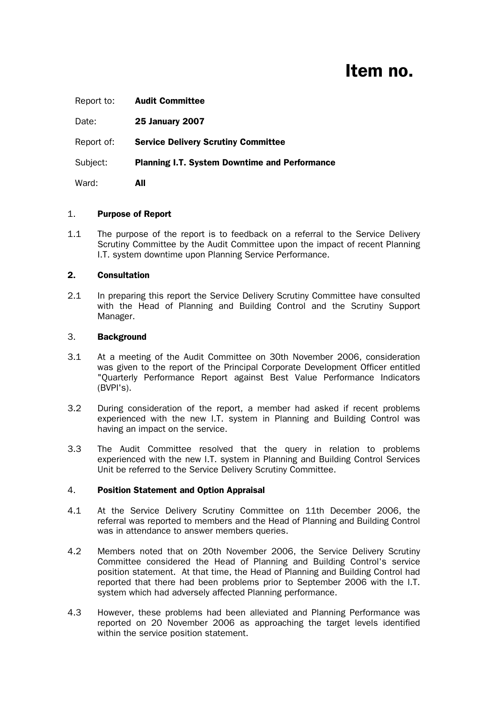# Item no.

| Report to: | <b>Audit Committee</b>                               |
|------------|------------------------------------------------------|
| Date:      | <b>25 January 2007</b>                               |
| Report of: | <b>Service Delivery Scrutiny Committee</b>           |
| Subject:   | <b>Planning I.T. System Downtime and Performance</b> |
| Ward:      | All                                                  |

## 1. Purpose of Report

1.1 The purpose of the report is to feedback on a referral to the Service Delivery Scrutiny Committee by the Audit Committee upon the impact of recent Planning I.T. system downtime upon Planning Service Performance.

# 2. Consultation

2.1 In preparing this report the Service Delivery Scrutiny Committee have consulted with the Head of Planning and Building Control and the Scrutiny Support Manager.

## 3. Background

- 3.1 At a meeting of the Audit Committee on 30th November 2006, consideration was given to the report of the Principal Corporate Development Officer entitled "Quarterly Performance Report against Best Value Performance Indicators (BVPI's).
- 3.2 During consideration of the report, a member had asked if recent problems experienced with the new I.T. system in Planning and Building Control was having an impact on the service.
- 3.3 The Audit Committee resolved that the query in relation to problems experienced with the new I.T. system in Planning and Building Control Services Unit be referred to the Service Delivery Scrutiny Committee.

## 4. Position Statement and Option Appraisal

- 4.1 At the Service Delivery Scrutiny Committee on 11th December 2006, the referral was reported to members and the Head of Planning and Building Control was in attendance to answer members queries.
- 4.2 Members noted that on 20th November 2006, the Service Delivery Scrutiny Committee considered the Head of Planning and Building Control's service position statement. At that time, the Head of Planning and Building Control had reported that there had been problems prior to September 2006 with the I.T. system which had adversely affected Planning performance.
- 4.3 However, these problems had been alleviated and Planning Performance was reported on 20 November 2006 as approaching the target levels identified within the service position statement.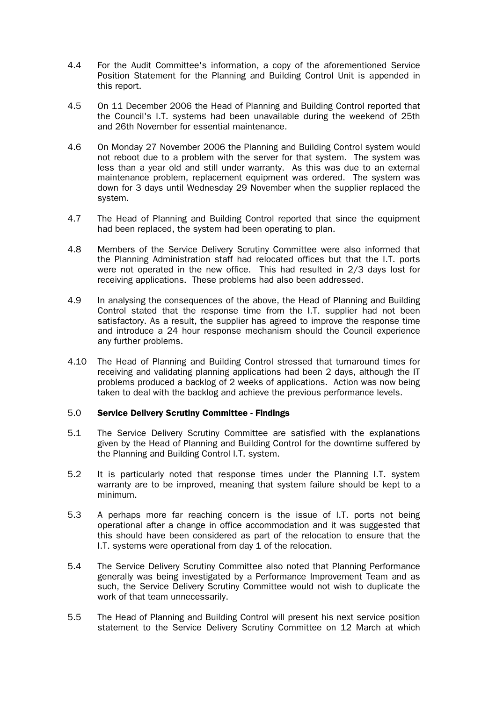- 4.4 For the Audit Committee's information, a copy of the aforementioned Service Position Statement for the Planning and Building Control Unit is appended in this report.
- 4.5 On 11 December 2006 the Head of Planning and Building Control reported that the Council's I.T. systems had been unavailable during the weekend of 25th and 26th November for essential maintenance.
- 4.6 On Monday 27 November 2006 the Planning and Building Control system would not reboot due to a problem with the server for that system. The system was less than a year old and still under warranty. As this was due to an external maintenance problem, replacement equipment was ordered. The system was down for 3 days until Wednesday 29 November when the supplier replaced the system.
- 4.7 The Head of Planning and Building Control reported that since the equipment had been replaced, the system had been operating to plan.
- 4.8 Members of the Service Delivery Scrutiny Committee were also informed that the Planning Administration staff had relocated offices but that the I.T. ports were not operated in the new office. This had resulted in 2/3 days lost for receiving applications. These problems had also been addressed.
- 4.9 In analysing the consequences of the above, the Head of Planning and Building Control stated that the response time from the I.T. supplier had not been satisfactory. As a result, the supplier has agreed to improve the response time and introduce a 24 hour response mechanism should the Council experience any further problems.
- 4.10 The Head of Planning and Building Control stressed that turnaround times for receiving and validating planning applications had been 2 days, although the IT problems produced a backlog of 2 weeks of applications. Action was now being taken to deal with the backlog and achieve the previous performance levels.

## 5.0 Service Delivery Scrutiny Committee - Findings

- 5.1 The Service Delivery Scrutiny Committee are satisfied with the explanations given by the Head of Planning and Building Control for the downtime suffered by the Planning and Building Control I.T. system.
- 5.2 It is particularly noted that response times under the Planning I.T. system warranty are to be improved, meaning that system failure should be kept to a minimum.
- 5.3 A perhaps more far reaching concern is the issue of I.T. ports not being operational after a change in office accommodation and it was suggested that this should have been considered as part of the relocation to ensure that the I.T. systems were operational from day 1 of the relocation.
- 5.4 The Service Delivery Scrutiny Committee also noted that Planning Performance generally was being investigated by a Performance Improvement Team and as such, the Service Delivery Scrutiny Committee would not wish to duplicate the work of that team unnecessarily.
- 5.5 The Head of Planning and Building Control will present his next service position statement to the Service Delivery Scrutiny Committee on 12 March at which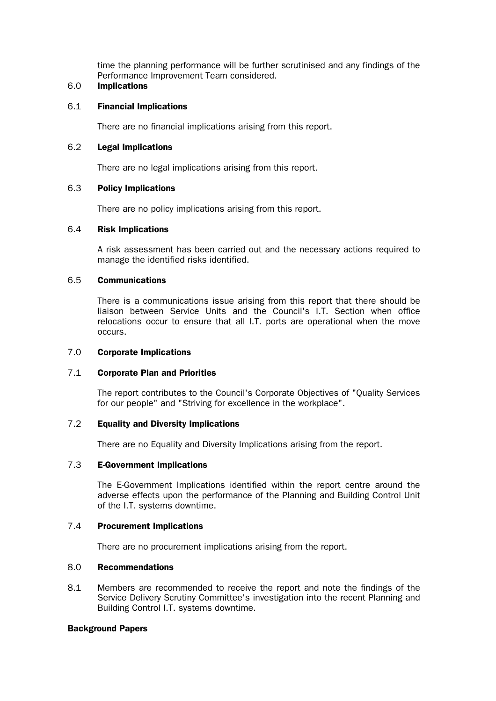time the planning performance will be further scrutinised and any findings of the Performance Improvement Team considered.

# 6.0 Implications

### 6.1 Financial Implications

There are no financial implications arising from this report.

#### 6.2 Legal Implications

There are no legal implications arising from this report.

#### 6.3 Policy Implications

There are no policy implications arising from this report.

#### 6.4 Risk Implications

 A risk assessment has been carried out and the necessary actions required to manage the identified risks identified.

#### 6.5 Communications

 There is a communications issue arising from this report that there should be liaison between Service Units and the Council's I.T. Section when office relocations occur to ensure that all I.T. ports are operational when the move occurs.

#### 7.0 Corporate Implications

## 7.1 Corporate Plan and Priorities

 The report contributes to the Council's Corporate Objectives of "Quality Services for our people" and "Striving for excellence in the workplace".

## 7.2 Equality and Diversity Implications

There are no Equality and Diversity Implications arising from the report.

## 7.3 E-Government Implications

 The E-Government Implications identified within the report centre around the adverse effects upon the performance of the Planning and Building Control Unit of the I.T. systems downtime.

#### 7.4 Procurement Implications

There are no procurement implications arising from the report.

#### 8.0 Recommendations

8.1 Members are recommended to receive the report and note the findings of the Service Delivery Scrutiny Committee's investigation into the recent Planning and Building Control I.T. systems downtime.

#### Background Papers